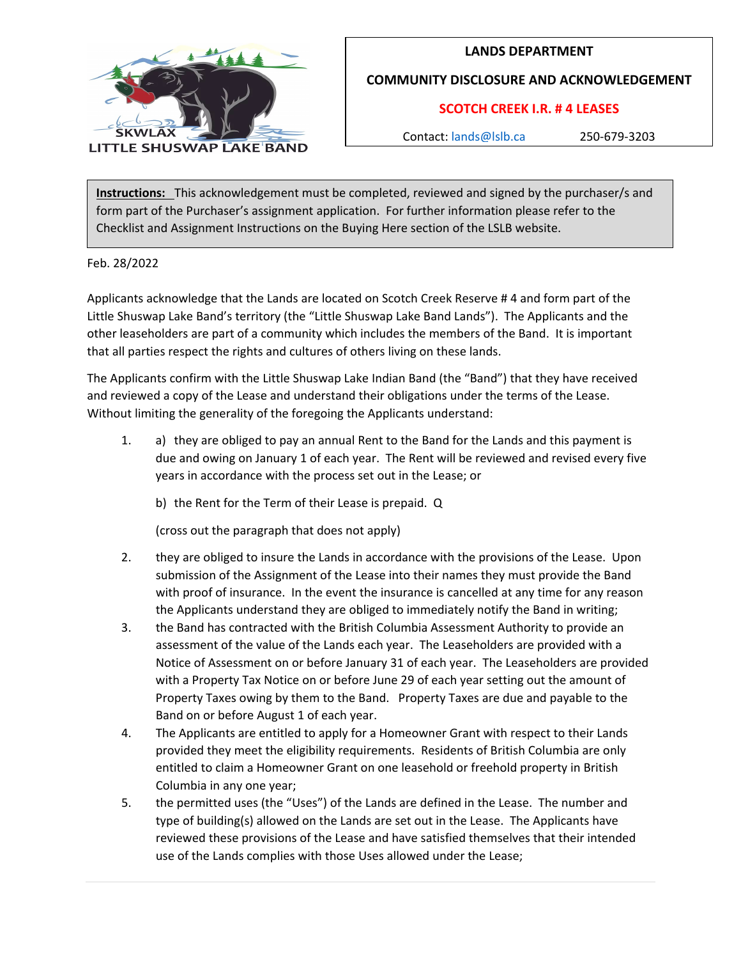

## **LANDS DEPARTMENT**

**COMMUNITY DISCLOSURE AND ACKNOWLEDGEMENT**

## **SCOTCH CREEK I.R. # 4 LEASES**

Contact: [lands@lslb.ca](mailto:lands@lslb.ca) 250-679-3203

**Instructions:** This acknowledgement must be completed, reviewed and signed by the purchaser/s and form part of the Purchaser's assignment application. For further information please refer to the Checklist and Assignment Instructions on the Buying Here section of the LSLB website.

Feb. 28/2022

Applicants acknowledge that the Lands are located on Scotch Creek Reserve # 4 and form part of the Little Shuswap Lake Band's territory (the "Little Shuswap Lake Band Lands"). The Applicants and the other leaseholders are part of a community which includes the members of the Band. It is important that all parties respect the rights and cultures of others living on these lands.

The Applicants confirm with the Little Shuswap Lake Indian Band (the "Band") that they have received and reviewed a copy of the Lease and understand their obligations under the terms of the Lease. Without limiting the generality of the foregoing the Applicants understand:

1. a) they are obliged to pay an annual Rent to the Band for the Lands and this payment is due and owing on January 1 of each year. The Rent will be reviewed and revised every five years in accordance with the process set out in the Lease; or

b) the Rent for the Term of their Lease is prepaid. Q

(cross out the paragraph that does not apply)

- 2. they are obliged to insure the Lands in accordance with the provisions of the Lease. Upon submission of the Assignment of the Lease into their names they must provide the Band with proof of insurance. In the event the insurance is cancelled at any time for any reason the Applicants understand they are obliged to immediately notify the Band in writing;
- 3. the Band has contracted with the British Columbia Assessment Authority to provide an assessment of the value of the Lands each year. The Leaseholders are provided with a Notice of Assessment on or before January 31 of each year. The Leaseholders are provided with a Property Tax Notice on or before June 29 of each year setting out the amount of Property Taxes owing by them to the Band. Property Taxes are due and payable to the Band on or before August 1 of each year.
- 4. The Applicants are entitled to apply for a Homeowner Grant with respect to their Lands provided they meet the eligibility requirements. Residents of British Columbia are only entitled to claim a Homeowner Grant on one leasehold or freehold property in British Columbia in any one year;
- 5. the permitted uses (the "Uses") of the Lands are defined in the Lease. The number and type of building(s) allowed on the Lands are set out in the Lease. The Applicants have reviewed these provisions of the Lease and have satisfied themselves that their intended use of the Lands complies with those Uses allowed under the Lease;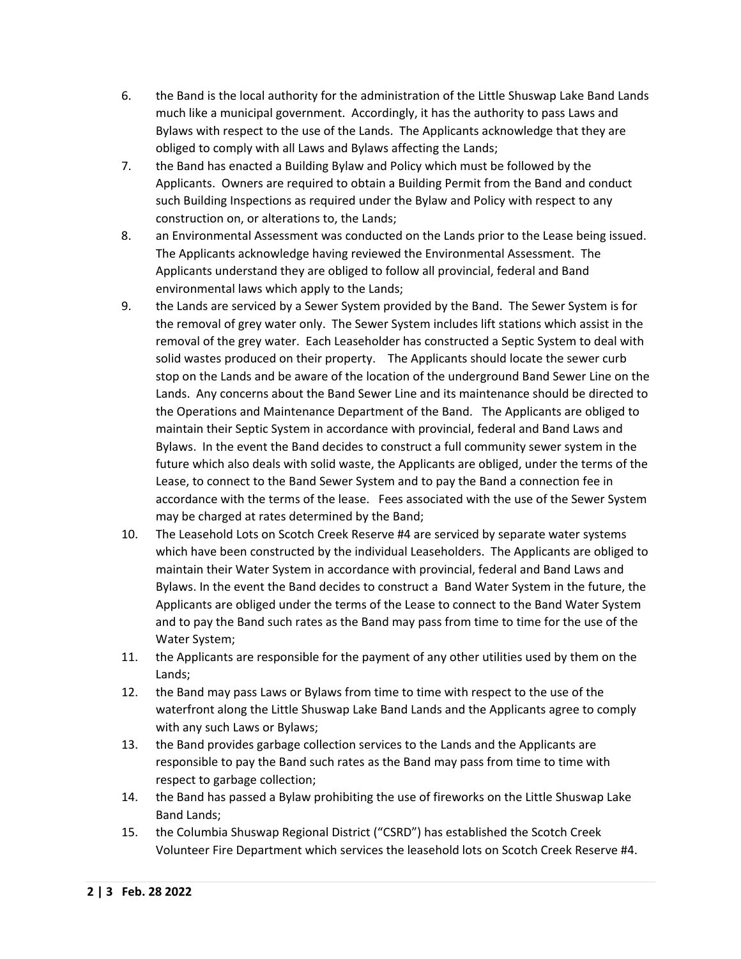- 6. the Band is the local authority for the administration of the Little Shuswap Lake Band Lands much like a municipal government. Accordingly, it has the authority to pass Laws and Bylaws with respect to the use of the Lands. The Applicants acknowledge that they are obliged to comply with all Laws and Bylaws affecting the Lands;
- 7. the Band has enacted a Building Bylaw and Policy which must be followed by the Applicants. Owners are required to obtain a Building Permit from the Band and conduct such Building Inspections as required under the Bylaw and Policy with respect to any construction on, or alterations to, the Lands;
- 8. an Environmental Assessment was conducted on the Lands prior to the Lease being issued. The Applicants acknowledge having reviewed the Environmental Assessment. The Applicants understand they are obliged to follow all provincial, federal and Band environmental laws which apply to the Lands;
- 9. the Lands are serviced by a Sewer System provided by the Band. The Sewer System is for the removal of grey water only. The Sewer System includes lift stations which assist in the removal of the grey water. Each Leaseholder has constructed a Septic System to deal with solid wastes produced on their property. The Applicants should locate the sewer curb stop on the Lands and be aware of the location of the underground Band Sewer Line on the Lands. Any concerns about the Band Sewer Line and its maintenance should be directed to the Operations and Maintenance Department of the Band. The Applicants are obliged to maintain their Septic System in accordance with provincial, federal and Band Laws and Bylaws. In the event the Band decides to construct a full community sewer system in the future which also deals with solid waste, the Applicants are obliged, under the terms of the Lease, to connect to the Band Sewer System and to pay the Band a connection fee in accordance with the terms of the lease. Fees associated with the use of the Sewer System may be charged at rates determined by the Band;
- 10. The Leasehold Lots on Scotch Creek Reserve #4 are serviced by separate water systems which have been constructed by the individual Leaseholders. The Applicants are obliged to maintain their Water System in accordance with provincial, federal and Band Laws and Bylaws. In the event the Band decides to construct a Band Water System in the future, the Applicants are obliged under the terms of the Lease to connect to the Band Water System and to pay the Band such rates as the Band may pass from time to time for the use of the Water System;
- 11. the Applicants are responsible for the payment of any other utilities used by them on the Lands;
- 12. the Band may pass Laws or Bylaws from time to time with respect to the use of the waterfront along the Little Shuswap Lake Band Lands and the Applicants agree to comply with any such Laws or Bylaws;
- 13. the Band provides garbage collection services to the Lands and the Applicants are responsible to pay the Band such rates as the Band may pass from time to time with respect to garbage collection;
- 14. the Band has passed a Bylaw prohibiting the use of fireworks on the Little Shuswap Lake Band Lands;
- 15. the Columbia Shuswap Regional District ("CSRD") has established the Scotch Creek Volunteer Fire Department which services the leasehold lots on Scotch Creek Reserve #4.